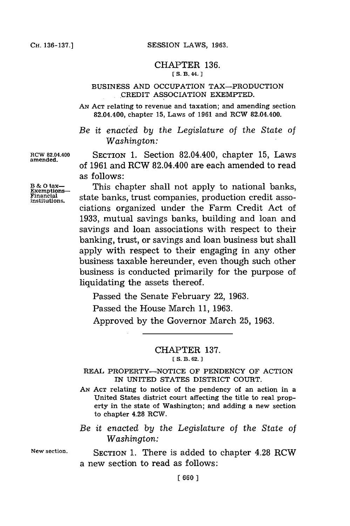#### CHAPTER **136. [ S. B3. 44.** J

### **BUSINESS AND** OCCUPATION TAX-PRODUCTION CREDIT ASSOCIATION EXEMPTED.

**AN ACT** relating to revenue and taxation; and amending section 82.04.400, chapter **15,** Laws of **1961** and RCW 82.04.400.

*Be it enacted by the Legislature* of *the State of Washington:*

**amended.**

**RCW 82.04.400** SECTION **1.** Section 82.04.400, chapter **15,** Laws of **1961** and RCW 82.04.400 are each amended to read as follows:

**B&O** tax-<br>Exemptions-<br>**Exemption** state banks, trust companies, production credit asso-Financial state banks, trust companies, production credit associations organized under the Farm Credit Act of **1933,** mutual savings banks, building and loan and savings and loan associations with respect to their banking, trust, or savings and loan business but shall apply with respect to their engaging in any other business taxable hereunder, even though such other business is conducted primarily for the purpose of liquidating the assets thereof.

Passed the Senate February 22, **1963.**

Passed the House March **11, 1963.**

Approved **by** the Governor March **25, 1963.**

# CHAPTER **137.**

**[ S. B. 62. ]**

REAL PROPERTY-NOTICE **OF PENDENCY** OF ACTION IN UNITED **STATES** DISTRICT **COURT.**

**AN ACT** relating to notice of the pendency of an action in a United States district court affecting the title to real property in the state of Washington; and adding a new section to chapter 4.28 ROW.

*Be it enacted by the Legislature of the State of Washington:*

**New section. SECTION 1.** There is added to chapter 4.28 RCW a new section to read as follows: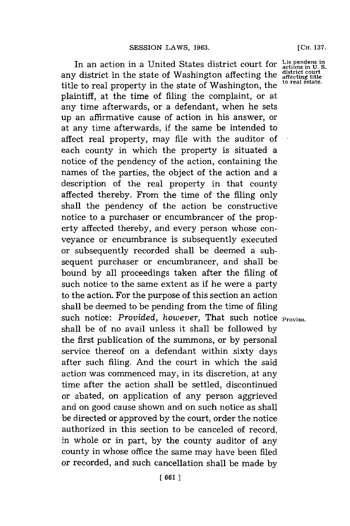In an action in a United States district court for Lis pendens in U.S.<br>
In district in the state of Washington affecting the district court<br>
a district of the state of Washington the to real estate. any district in the state of Washington affecting the title to real property in the state of Washington, the plaintiff, at the time of filing the complaint, or at any time afterwards, or a defendant, when he sets up an affirmative cause of action in his answer, or at any time afterwards, if the same be intended to affect real property, may file with the auditor of each county in which the property is situated a notice of the pendency of the action, containing the names of the parties, the object of the action and a description of the real property in that county affected thereby. From the time of the filing only shall the pendency of the action be constructive notice to a purchaser or encumbrancer of the property affected thereby, and every person whose conveyance or encumbrance is subsequently executed or subsequently recorded shall be deemed a subsequent purchaser or encumbrancer, and shall be bound **by** all proceedings taken after the filing of such notice to the same extent as if he were a party to the action. For the purpose of this section an action shall be deemed to be pending from the time of filing such notice: Provided, however, That such notice **Proviso.** shall be of no avail unless it shall be followed **by** the first publication of the summons, or **by** personal service thereof on a defendant within sixty days after such filing. And the court in which the said action was commenced may, in its discretion, at any time after the action shall be settled, discontinued or abated, on application of any person aggrieved and on good cause shown and on such notice as shall be directed or approved **by** the court, order the notice authorized in this section to be canceled of record, in whole or in part, **by** the county auditor of any county in whose office the same may have been filed or recorded, and such cancellation shall be made **by**